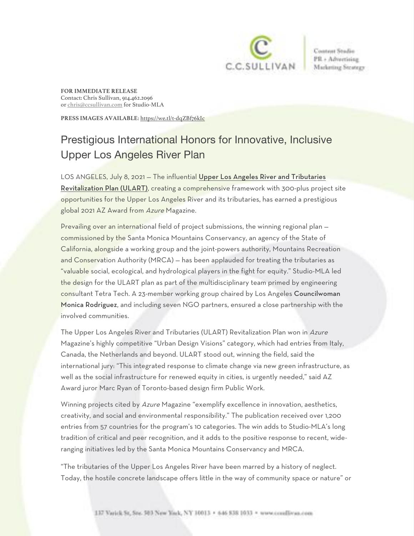

Control Stadio PR + Advertising Marketing Steategy

**FOR IMMEDIATE RELEASE** Contact: Chris Sullivan, 914.462.2096 or chris@ccsullivan.com for Studio-MLA

**PRESS IMAGES AVAILABLE**: https://we.tl/t-dqZBf76kIc

## Prestigious International Honors for Innovative, Inclusive Upper Los Angeles River Plan

LOS ANGELES, July 8, 2021 — The influential Upper Los Angeles River and Tributaries Revitalization Plan (ULART), creating a comprehensive framework with 300-plus project site opportunities for the Upper Los Angeles River and its tributaries, has earned a prestigious global 2021 AZ Award from Azure Magazine.

Prevailing over an international field of project submissions, the winning regional plan commissioned by the Santa Monica Mountains Conservancy, an agency of the State of California, alongside a working group and the joint-powers authority, Mountains Recreation and Conservation Authority (MRCA) — has been applauded for treating the tributaries as "valuable social, ecological, and hydrological players in the fight for equity." Studio-MLA led the design for the ULART plan as part of the multidisciplinary team primed by engineering consultant Tetra Tech. A 23-member working group chaired by Los Angeles Councilwoman Monica Rodriguez, and including seven NGO partners, ensured a close partnership with the involved communities.

The Upper Los Angeles River and Tributaries (ULART) Revitalization Plan won in Azure Magazine's highly competitive "Urban Design Visions" category, which had entries from Italy, Canada, the Netherlands and beyond. ULART stood out, winning the field, said the international jury: "This integrated response to climate change via new green infrastructure, as well as the social infrastructure for renewed equity in cities, is urgently needed," said AZ Award juror Marc Ryan of Toronto-based design firm Public Work.

Winning projects cited by Azure Magazine "exemplify excellence in innovation, aesthetics, creativity, and social and environmental responsibility." The publication received over 1,200 entries from 57 countries for the program's 10 categories. The win adds to Studio-MLA's long tradition of critical and peer recognition, and it adds to the positive response to recent, wideranging initiatives led by the Santa Monica Mountains Conservancy and MRCA.

"The tributaries of the Upper Los Angeles River have been marred by a history of neglect. Today, the hostile concrete landscape offers little in the way of community space or nature" or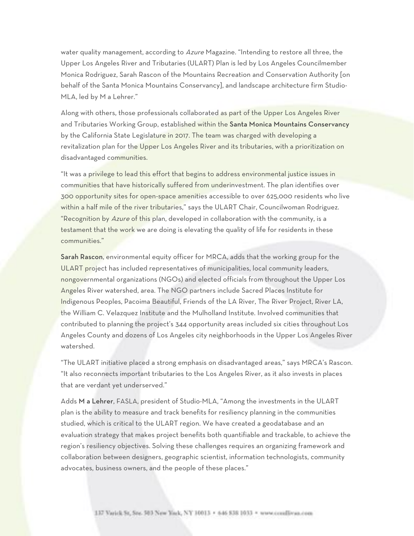water quality management, according to Azure Magazine. "Intending to restore all three, the Upper Los Angeles River and Tributaries (ULART) Plan is led by Los Angeles Councilmember Monica Rodriguez, Sarah Rascon of the Mountains Recreation and Conservation Authority [on behalf of the Santa Monica Mountains Conservancy], and landscape architecture firm Studio-MLA, led by M a Lehrer."

Along with others, those professionals collaborated as part of the Upper Los Angeles River and Tributaries Working Group, established within the Santa Monica Mountains Conservancy by the California State Legislature in 2017. The team was charged with developing a revitalization plan for the Upper Los Angeles River and its tributaries, with a prioritization on disadvantaged communities.

"It was a privilege to lead this effort that begins to address environmental justice issues in communities that have historically suffered from underinvestment. The plan identifies over 300 opportunity sites for open-space amenities accessible to over 625,000 residents who live within a half mile of the river tributaries," says the ULART Chair, Councilwoman Rodriguez. "Recognition by Azure of this plan, developed in collaboration with the community, is a testament that the work we are doing is elevating the quality of life for residents in these communities."

Sarah Rascon, environmental equity officer for MRCA, adds that the working group for the ULART project has included representatives of municipalities, local community leaders, nongovernmental organizations (NGOs) and elected officials from throughout the Upper Los Angeles River watershed, area. The NGO partners include Sacred Places Institute for Indigenous Peoples, Pacoima Beautiful, Friends of the LA River, The River Project, River LA, the William C. Velazquez Institute and the Mulholland Institute. Involved communities that contributed to planning the project's 344 opportunity areas included six cities throughout Los Angeles County and dozens of Los Angeles city neighborhoods in the Upper Los Angeles River watershed.

"The ULART initiative placed a strong emphasis on disadvantaged areas," says MRCA's Rascon. "It also reconnects important tributaries to the Los Angeles River, as it also invests in places that are verdant yet underserved."

Adds M a Lehrer, FASLA, president of Studio-MLA, "Among the investments in the ULART plan is the ability to measure and track benefits for resiliency planning in the communities studied, which is critical to the ULART region. We have created a geodatabase and an evaluation strategy that makes project benefits both quantifiable and trackable, to achieve the region's resiliency objectives. Solving these challenges requires an organizing framework and collaboration between designers, geographic scientist, information technologists, community advocates, business owners, and the people of these places."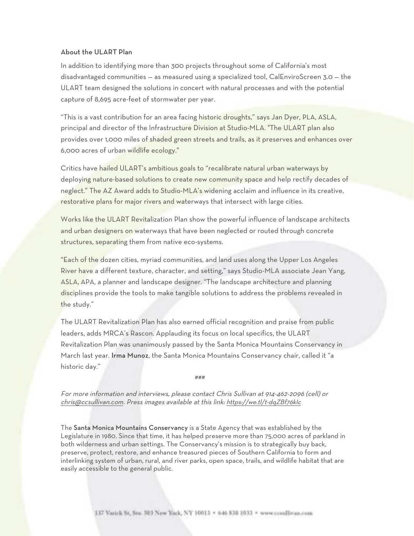## About the ULART Plan

In addition to identifying more than 300 projects throughout some of California's most disadvantaged communities — as measured using a specialized tool, CalEnviroScreen 3.0 — the ULART team designed the solutions in concert with natural processes and with the potential capture of 8,695 acre-feet of stormwater per year.

"This is a vast contribution for an area facing historic droughts," says Jan Dyer, PLA, ASLA, principal and director of the Infrastructure Division at Studio-MLA. "The ULART plan also provides over 1,000 miles of shaded green streets and trails, as it preserves and enhances over 6,000 acres of urban wildlife ecology."

Critics have hailed ULART's ambitious goals to "recalibrate natural urban waterways by deploying nature-based solutions to create new community space and help rectify decades of neglect." The AZ Award adds to Studio-MLA's widening acclaim and influence in its creative, restorative plans for major rivers and waterways that intersect with large cities.

Works like the ULART Revitalization Plan show the powerful influence of landscape architects and urban designers on waterways that have been neglected or routed through concrete structures, separating them from native eco-systems.

"Each of the dozen cities, myriad communities, and land uses along the Upper Los Angeles River have a different texture, character, and setting," says Studio-MLA associate Jean Yang, ASLA, APA, a planner and landscape designer. "The landscape architecture and planning disciplines provide the tools to make tangible solutions to address the problems revealed in the study."

The ULART Revitalization Plan has also earned official recognition and praise from public leaders, adds MRCA's Rascon. Applauding its focus on local specifics, the ULART Revitalization Plan was unanimously passed by the Santa Monica Mountains Conservancy in March last year. Irma Munoz, the Santa Monica Mountains Conservancy chair, called it "a historic day."

###

For more information and interviews, please contact Chris Sullivan at 914-462-2096 (cell) or chris@ccsullivan.com. Press images available at this link: https://we.tl/t-dqZBf76kIc

The Santa Monica Mountains Conservancy is a State Agency that was established by the Legislature in 1980. Since that time, it has helped preserve more than 75,000 acres of parkland in both wilderness and urban settings. The Conservancy's mission is to strategically buy back, preserve, protect, restore, and enhance treasured pieces of Southern California to form and interlinking system of urban, rural, and river parks, open space, trails, and wildlife habitat that are easily accessible to the general public.